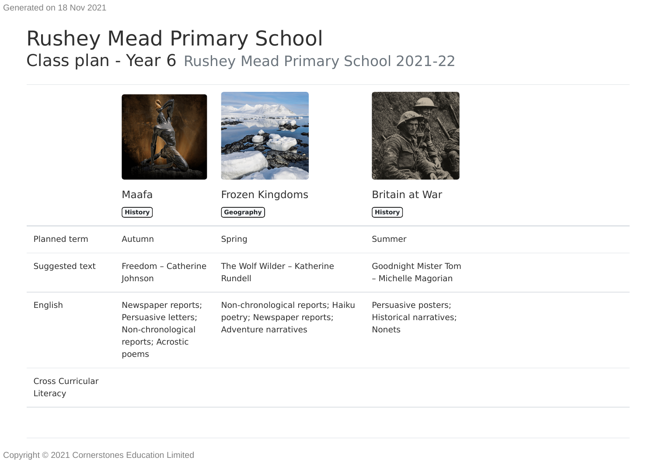## Rushey Mead Primary School Class plan - Year 6 Rushey Mead Primary School 2021-22

|                              | Maafa                                                                                        | Frozen Kingdoms                                                                        | Britain at War                                                 |
|------------------------------|----------------------------------------------------------------------------------------------|----------------------------------------------------------------------------------------|----------------------------------------------------------------|
|                              | <b>History</b>                                                                               | Geography                                                                              | $[$ History $]$                                                |
| Planned term                 | Autumn                                                                                       | Spring                                                                                 | Summer                                                         |
| Suggested text               | Freedom - Catherine<br>Johnson                                                               | The Wolf Wilder - Katherine<br>Rundell                                                 | Goodnight Mister Tom<br>- Michelle Magorian                    |
| English                      | Newspaper reports;<br>Persuasive letters;<br>Non-chronological<br>reports; Acrostic<br>poems | Non-chronological reports; Haiku<br>poetry; Newspaper reports;<br>Adventure narratives | Persuasive posters;<br>Historical narratives;<br><b>Nonets</b> |
| Cross Curricular<br>Literacy |                                                                                              |                                                                                        |                                                                |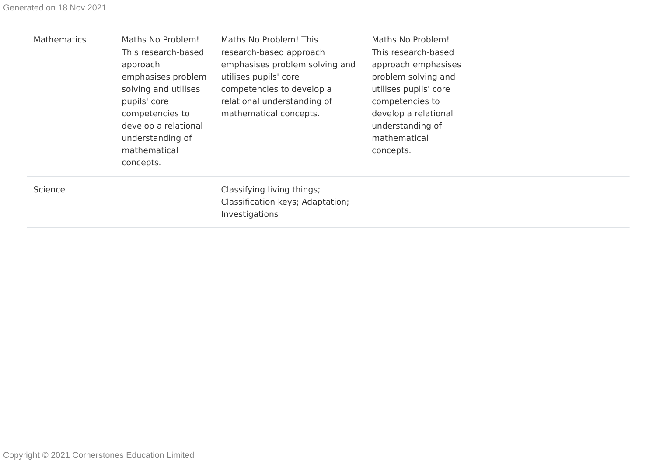| <b>Mathematics</b> | Maths No Problem!<br>This research-based<br>approach<br>emphasises problem<br>solving and utilises<br>pupils' core<br>competencies to<br>develop a relational<br>understanding of<br>mathematical<br>concepts. | Maths No Problem! This<br>research-based approach<br>emphasises problem solving and<br>utilises pupils' core<br>competencies to develop a<br>relational understanding of<br>mathematical concepts. | Maths No Problem!<br>This research-based<br>approach emphasises<br>problem solving and<br>utilises pupils' core<br>competencies to<br>develop a relational<br>understanding of<br>mathematical<br>concepts. |  |
|--------------------|----------------------------------------------------------------------------------------------------------------------------------------------------------------------------------------------------------------|----------------------------------------------------------------------------------------------------------------------------------------------------------------------------------------------------|-------------------------------------------------------------------------------------------------------------------------------------------------------------------------------------------------------------|--|
| Science            |                                                                                                                                                                                                                | Classifying living things;<br>Classification keys; Adaptation;<br>Investigations                                                                                                                   |                                                                                                                                                                                                             |  |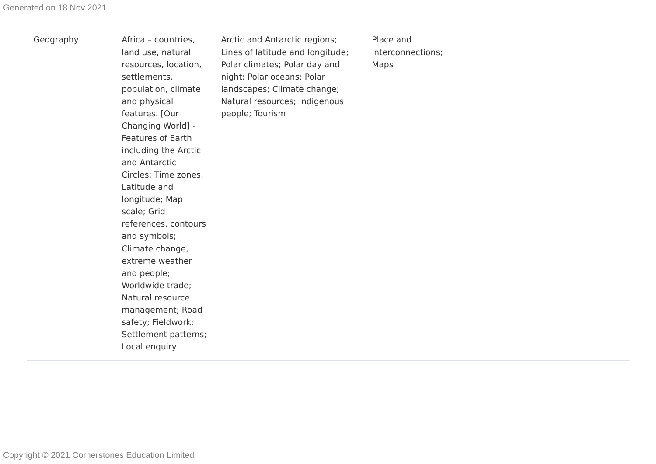| Geography | Africa - countries,<br>land use, natural<br>resources, location,<br>settlements,<br>population, climate<br>and physical<br>features. [Our<br>Changing World] -<br><b>Features of Earth</b><br>including the Arctic<br>and Antarctic<br>Circles; Time zones,<br>Latitude and<br>longitude; Map<br>scale; Grid<br>references, contours<br>and symbols;<br>Climate change,<br>extreme weather<br>and people;<br>Worldwide trade;<br>Natural resource<br>management; Road<br>safety; Fieldwork;<br>Settlement patterns;<br>Local enquiry | Arctic and Antarctic regions;<br>Lines of latitude and longitude;<br>Polar climates; Polar day and<br>night; Polar oceans; Polar<br>landscapes; Climate change;<br>Natural resources; Indigenous<br>people; Tourism | Place and<br>interconnections;<br>Maps |  |
|-----------|--------------------------------------------------------------------------------------------------------------------------------------------------------------------------------------------------------------------------------------------------------------------------------------------------------------------------------------------------------------------------------------------------------------------------------------------------------------------------------------------------------------------------------------|---------------------------------------------------------------------------------------------------------------------------------------------------------------------------------------------------------------------|----------------------------------------|--|
|-----------|--------------------------------------------------------------------------------------------------------------------------------------------------------------------------------------------------------------------------------------------------------------------------------------------------------------------------------------------------------------------------------------------------------------------------------------------------------------------------------------------------------------------------------------|---------------------------------------------------------------------------------------------------------------------------------------------------------------------------------------------------------------------|----------------------------------------|--|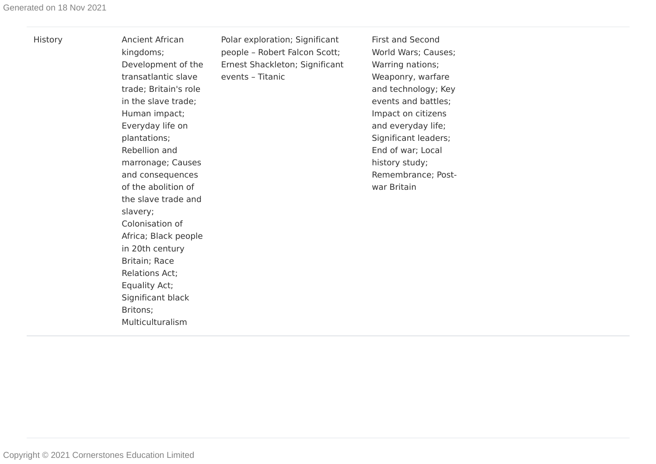| History | <b>Ancient African</b><br>kingdoms;<br>Development of the<br>transatlantic slave<br>trade; Britain's role<br>in the slave trade;<br>Human impact;<br>Everyday life on<br>plantations;<br>Rebellion and<br>marronage; Causes<br>and consequences<br>of the abolition of<br>the slave trade and<br>slavery;<br>Colonisation of<br>Africa; Black people<br>in 20th century<br>Britain; Race<br><b>Relations Act;</b><br>Equality Act;<br>Significant black<br>Britons;<br>Multiculturalism | Polar exploration; Significant<br>people - Robert Falcon Scott;<br>Ernest Shackleton; Significant<br>events - Titanic | <b>First and Second</b><br>World Wars; Causes;<br>Warring nations;<br>Weaponry, warfare<br>and technology; Key<br>events and battles;<br>Impact on citizens<br>and everyday life;<br>Significant leaders;<br>End of war; Local<br>history study;<br>Remembrance; Post-<br>war Britain |  |
|---------|-----------------------------------------------------------------------------------------------------------------------------------------------------------------------------------------------------------------------------------------------------------------------------------------------------------------------------------------------------------------------------------------------------------------------------------------------------------------------------------------|-----------------------------------------------------------------------------------------------------------------------|---------------------------------------------------------------------------------------------------------------------------------------------------------------------------------------------------------------------------------------------------------------------------------------|--|
|---------|-----------------------------------------------------------------------------------------------------------------------------------------------------------------------------------------------------------------------------------------------------------------------------------------------------------------------------------------------------------------------------------------------------------------------------------------------------------------------------------------|-----------------------------------------------------------------------------------------------------------------------|---------------------------------------------------------------------------------------------------------------------------------------------------------------------------------------------------------------------------------------------------------------------------------------|--|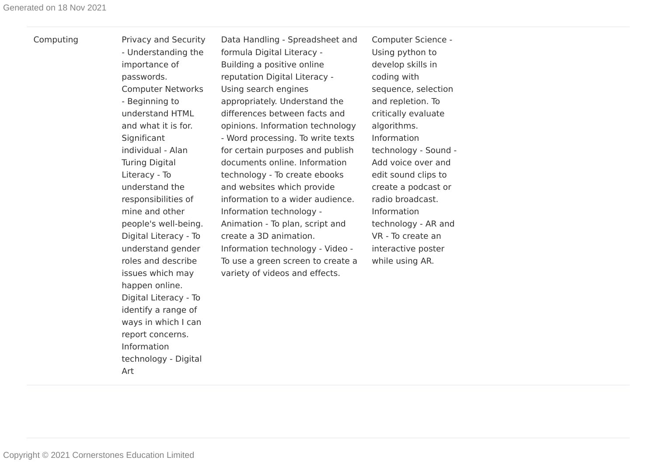| Computing | Privacy and Security                                                                                                                                                                                                                                                                                                                                                                                                                                                                                     | Data Handling - Spreadsheet and                                                                                                                                                                                                                                                                                                                                                                                                                                                                                                                                                                            | Computer Science -                                                                                                                                                                                                                                                                                                                                    |
|-----------|----------------------------------------------------------------------------------------------------------------------------------------------------------------------------------------------------------------------------------------------------------------------------------------------------------------------------------------------------------------------------------------------------------------------------------------------------------------------------------------------------------|------------------------------------------------------------------------------------------------------------------------------------------------------------------------------------------------------------------------------------------------------------------------------------------------------------------------------------------------------------------------------------------------------------------------------------------------------------------------------------------------------------------------------------------------------------------------------------------------------------|-------------------------------------------------------------------------------------------------------------------------------------------------------------------------------------------------------------------------------------------------------------------------------------------------------------------------------------------------------|
|           | - Understanding the                                                                                                                                                                                                                                                                                                                                                                                                                                                                                      | formula Digital Literacy -                                                                                                                                                                                                                                                                                                                                                                                                                                                                                                                                                                                 | Using python to                                                                                                                                                                                                                                                                                                                                       |
|           | importance of<br>passwords.<br><b>Computer Networks</b><br>- Beginning to<br>understand HTML<br>and what it is for.<br>Significant<br>individual - Alan<br><b>Turing Digital</b><br>Literacy - To<br>understand the<br>responsibilities of<br>mine and other<br>people's well-being.<br>Digital Literacy - To<br>understand gender<br>roles and describe<br>issues which may<br>happen online.<br>Digital Literacy - To<br>identify a range of<br>ways in which I can<br>report concerns.<br>Information | Building a positive online<br>reputation Digital Literacy -<br>Using search engines<br>appropriately. Understand the<br>differences between facts and<br>opinions. Information technology<br>- Word processing. To write texts<br>for certain purposes and publish<br>documents online. Information<br>technology - To create ebooks<br>and websites which provide<br>information to a wider audience.<br>Information technology -<br>Animation - To plan, script and<br>create a 3D animation.<br>Information technology - Video -<br>To use a green screen to create a<br>variety of videos and effects. | develop skills in<br>coding with<br>sequence, selection<br>and repletion. To<br>critically evaluate<br>algorithms.<br>Information<br>technology - Sound -<br>Add voice over and<br>edit sound clips to<br>create a podcast or<br>radio broadcast.<br>Information<br>technology - AR and<br>VR - To create an<br>interactive poster<br>while using AR. |

technology - Digital

Art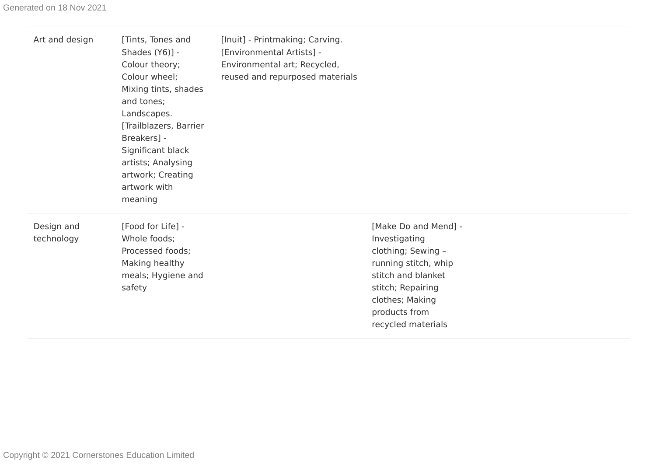| Art and design           | [Tints, Tones and<br>Shades (Y6)] -<br>Colour theory;<br>Colour wheel;<br>Mixing tints, shades<br>and tones;<br>Landscapes.<br>[Trailblazers, Barrier<br>Breakers] -<br>Significant black<br>artists; Analysing<br>artwork; Creating<br>artwork with<br>meaning | [Inuit] - Printmaking; Carving.<br>[Environmental Artists] -<br>Environmental art; Recycled,<br>reused and repurposed materials |                                                                                                                                                                                          |
|--------------------------|-----------------------------------------------------------------------------------------------------------------------------------------------------------------------------------------------------------------------------------------------------------------|---------------------------------------------------------------------------------------------------------------------------------|------------------------------------------------------------------------------------------------------------------------------------------------------------------------------------------|
| Design and<br>technology | [Food for Life] -<br>Whole foods;<br>Processed foods;<br>Making healthy<br>meals; Hygiene and<br>safety                                                                                                                                                         |                                                                                                                                 | [Make Do and Mend] -<br>Investigating<br>clothing; Sewing -<br>running stitch, whip<br>stitch and blanket<br>stitch; Repairing<br>clothes; Making<br>products from<br>recycled materials |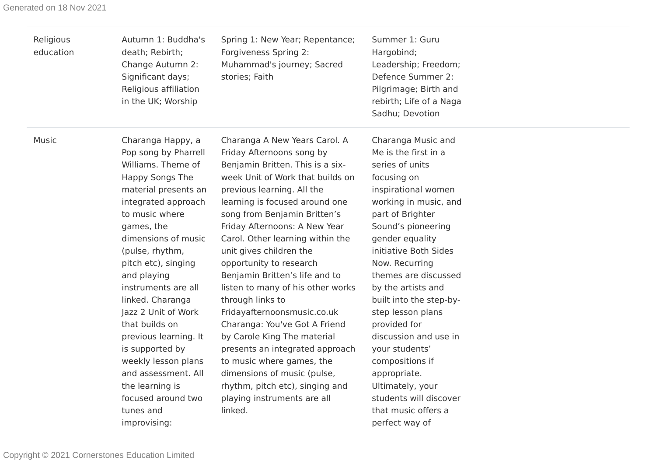| Religious<br>education | Autumn 1: Buddha's<br>death; Rebirth;<br>Change Autumn 2:<br>Significant days;<br>Religious affiliation<br>in the UK; Worship                                                                                                                                                                                                                                                                            | Spring 1: New Year; Repentance;<br>Forgiveness Spring 2:<br>Muhammad's journey; Sacred<br>stories; Faith                                                                                                                                                                                                                                                                                                                                                                                                                                                                                                                | Summer 1: Guru<br>Hargobind;<br>Leadership; Freedom;<br>Defence Summer 2:<br>Pilgrimage; Birth and<br>rebirth; Life of a Naga<br>Sadhu; Devotion                                                                                                                                                                                                                                                                 |  |
|------------------------|----------------------------------------------------------------------------------------------------------------------------------------------------------------------------------------------------------------------------------------------------------------------------------------------------------------------------------------------------------------------------------------------------------|-------------------------------------------------------------------------------------------------------------------------------------------------------------------------------------------------------------------------------------------------------------------------------------------------------------------------------------------------------------------------------------------------------------------------------------------------------------------------------------------------------------------------------------------------------------------------------------------------------------------------|------------------------------------------------------------------------------------------------------------------------------------------------------------------------------------------------------------------------------------------------------------------------------------------------------------------------------------------------------------------------------------------------------------------|--|
| Music                  | Charanga Happy, a<br>Pop song by Pharrell<br>Williams. Theme of<br>Happy Songs The<br>material presents an<br>integrated approach<br>to music where<br>games, the<br>dimensions of music<br>(pulse, rhythm,<br>pitch etc), singing<br>and playing<br>instruments are all<br>linked. Charanga<br>Jazz 2 Unit of Work<br>that builds on<br>previous learning. It<br>is supported by<br>weekly lesson plans | Charanga A New Years Carol. A<br>Friday Afternoons song by<br>Benjamin Britten. This is a six-<br>week Unit of Work that builds on<br>previous learning. All the<br>learning is focused around one<br>song from Benjamin Britten's<br>Friday Afternoons: A New Year<br>Carol. Other learning within the<br>unit gives children the<br>opportunity to research<br>Benjamin Britten's life and to<br>listen to many of his other works<br>through links to<br>Fridayafternoonsmusic.co.uk<br>Charanga: You've Got A Friend<br>by Carole King The material<br>presents an integrated approach<br>to music where games, the | Charanga Music and<br>Me is the first in a<br>series of units<br>focusing on<br>inspirational women<br>working in music, and<br>part of Brighter<br>Sound's pioneering<br>gender equality<br>initiative Both Sides<br>Now. Recurring<br>themes are discussed<br>by the artists and<br>built into the step-by-<br>step lesson plans<br>provided for<br>discussion and use in<br>your students'<br>compositions if |  |
|                        | and assessment. All<br>the learning is<br>focused around two<br>tunes and<br>improvising:                                                                                                                                                                                                                                                                                                                | dimensions of music (pulse,<br>rhythm, pitch etc), singing and<br>playing instruments are all<br>linked.                                                                                                                                                                                                                                                                                                                                                                                                                                                                                                                | appropriate.<br>Ultimately, your<br>students will discover<br>that music offers a<br>perfect way of                                                                                                                                                                                                                                                                                                              |  |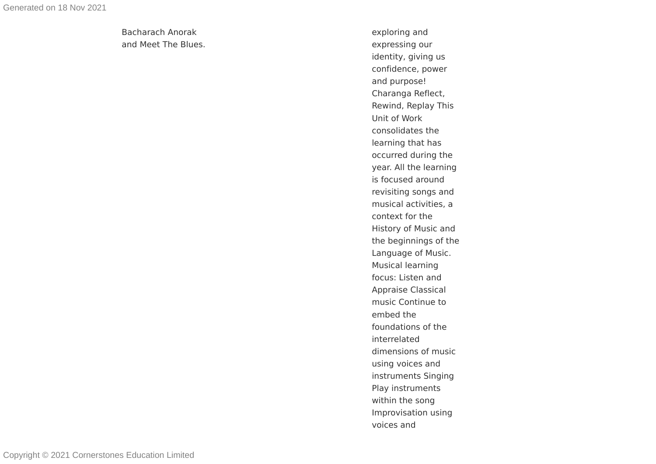Bacharach Anorak and Meet The Blues. exploring and expressing our identity, giving us confidence, power and purpose! Charanga Reflect, Rewind, Replay This Unit of Work consolidates the learning that has occur red during the year. All the learning is focused around revisiting songs and musical activities, a context for the History of Music and the beginnings of the Language of Music. Musical learning focus: Listen and Appraise Classical music Continue to embed the foundations of the inter related dimensions of music using voices and instruments Singing Play instruments within the song Improvisation using voices and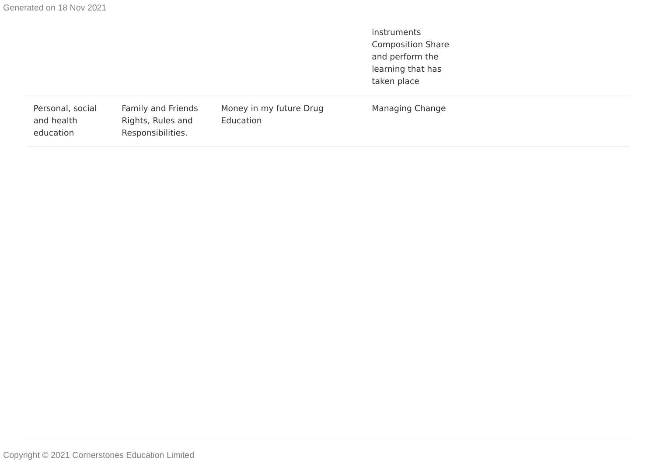instruments Composition Share and perform the learning that has taken place

| Managing Change | Money in my future Drug<br>Education | Family and Friends<br>Rights, Rules and<br>Responsibilities. | Personal, social<br>and health<br>education |
|-----------------|--------------------------------------|--------------------------------------------------------------|---------------------------------------------|
|-----------------|--------------------------------------|--------------------------------------------------------------|---------------------------------------------|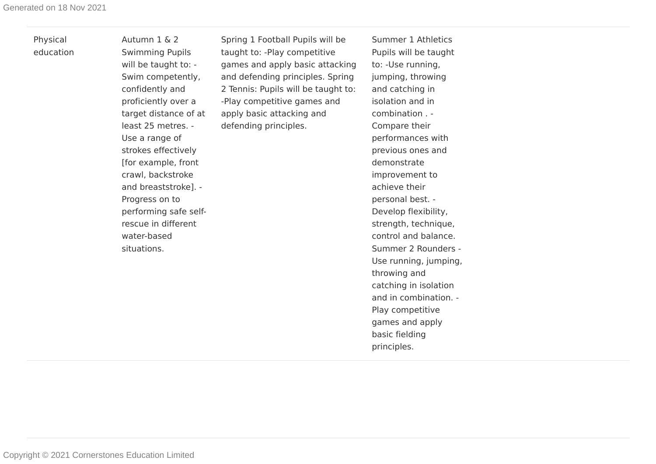Physical education Autumn 1 & 2 Swimming Pupils will be taught to: - Swim competently, confidently and proficiently over a target distance of at least 25 metres. - Use a range of strokes effectively [for example, front crawl, backstroke and breaststroke]. - Progress on to performing safe selfrescue in different water-based situations.

Spring 1 Football Pupils will be taught to: -Play competitive games and apply basic attacking and defending principles. Spring 2 Tennis: Pupils will be taught to: -Play competitive games and apply basic attacking and defending principles.

Summer 1 Athletics Pupils will be taught to: -Use running, jumping, throwing and catching in isolation and in combination . - Compare their performances with previous ones and demonstrate improvement to achieve their personal best. - Develop flexibility, strength, technique, control and balance. Summer 2 Rounders - Use running, jumping, throwing and catching in isolation and in combination. - Play competitive games and apply basic fielding principles.

Copyright © 2021 Cornerstones Education Limited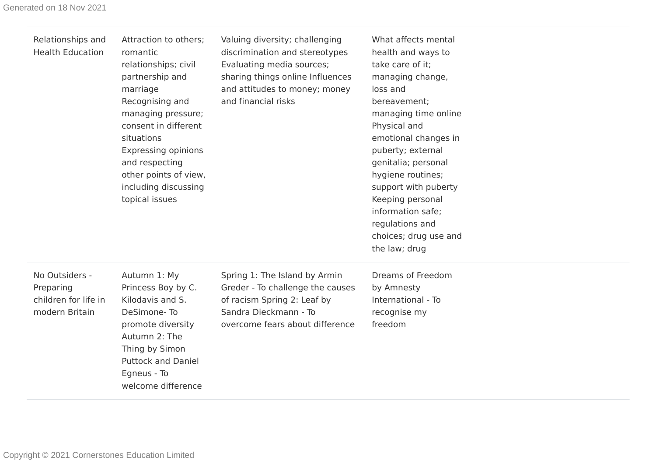| Relationships and<br><b>Health Education</b>                          | Attraction to others;<br>romantic<br>relationships; civil<br>partnership and<br>marriage<br>Recognising and<br>managing pressure;<br>consent in different<br>situations<br><b>Expressing opinions</b><br>and respecting<br>other points of view,<br>including discussing<br>topical issues | Valuing diversity; challenging<br>discrimination and stereotypes<br>Evaluating media sources;<br>sharing things online Influences<br>and attitudes to money; money<br>and financial risks | What affects mental<br>health and ways to<br>take care of it;<br>managing change,<br>loss and<br>bereavement;<br>managing time online<br>Physical and<br>emotional changes in<br>puberty; external<br>genitalia; personal<br>hygiene routines;<br>support with puberty<br>Keeping personal<br>information safe;<br>regulations and<br>choices; drug use and<br>the law; drug |
|-----------------------------------------------------------------------|--------------------------------------------------------------------------------------------------------------------------------------------------------------------------------------------------------------------------------------------------------------------------------------------|-------------------------------------------------------------------------------------------------------------------------------------------------------------------------------------------|------------------------------------------------------------------------------------------------------------------------------------------------------------------------------------------------------------------------------------------------------------------------------------------------------------------------------------------------------------------------------|
| No Outsiders -<br>Preparing<br>children for life in<br>modern Britain | Autumn 1: My<br>Princess Boy by C.<br>Kilodavis and S.<br>DeSimone-To<br>promote diversity<br>Autumn 2: The<br>Thing by Simon<br><b>Puttock and Daniel</b><br>Egneus - To<br>welcome difference                                                                                            | Spring 1: The Island by Armin<br>Greder - To challenge the causes<br>of racism Spring 2: Leaf by<br>Sandra Dieckmann - To<br>overcome fears about difference                              | Dreams of Freedom<br>by Amnesty<br>International - To<br>recognise my<br>freedom                                                                                                                                                                                                                                                                                             |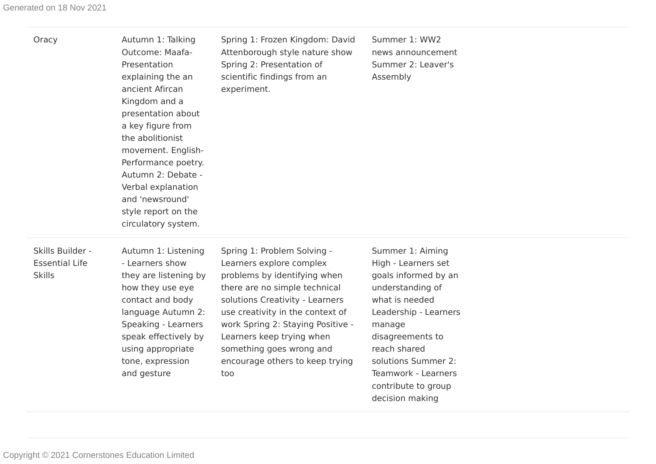| Oracy                                                      | Autumn 1: Talking<br>Outcome: Maafa-<br>Presentation<br>explaining the an<br>ancient Afircan<br>Kingdom and a<br>presentation about<br>a key figure from<br>the abolitionist<br>movement. English-<br>Performance poetry.<br>Autumn 2: Debate -<br>Verbal explanation<br>and 'newsround'<br>style report on the<br>circulatory system. | Spring 1: Frozen Kingdom: David<br>Attenborough style nature show<br>Spring 2: Presentation of<br>scientific findings from an<br>experiment.                                                                                                                                                                                            | Summer 1: WW2<br>news announcement<br>Summer 2: Leaver's<br>Assembly                                                                                                                                                                                                 |  |
|------------------------------------------------------------|----------------------------------------------------------------------------------------------------------------------------------------------------------------------------------------------------------------------------------------------------------------------------------------------------------------------------------------|-----------------------------------------------------------------------------------------------------------------------------------------------------------------------------------------------------------------------------------------------------------------------------------------------------------------------------------------|----------------------------------------------------------------------------------------------------------------------------------------------------------------------------------------------------------------------------------------------------------------------|--|
| Skills Builder -<br><b>Essential Life</b><br><b>Skills</b> | Autumn 1: Listening<br>- Learners show<br>they are listening by<br>how they use eye<br>contact and body<br>language Autumn 2:<br>Speaking - Learners<br>speak effectively by<br>using appropriate<br>tone, expression<br>and gesture                                                                                                   | Spring 1: Problem Solving -<br>Learners explore complex<br>problems by identifying when<br>there are no simple technical<br>solutions Creativity - Learners<br>use creativity in the context of<br>work Spring 2: Staying Positive -<br>Learners keep trying when<br>something goes wrong and<br>encourage others to keep trying<br>too | Summer 1: Aiming<br>High - Learners set<br>goals informed by an<br>understanding of<br>what is needed<br>Leadership - Learners<br>manage<br>disagreements to<br>reach shared<br>solutions Summer 2:<br>Teamwork - Learners<br>contribute to group<br>decision making |  |